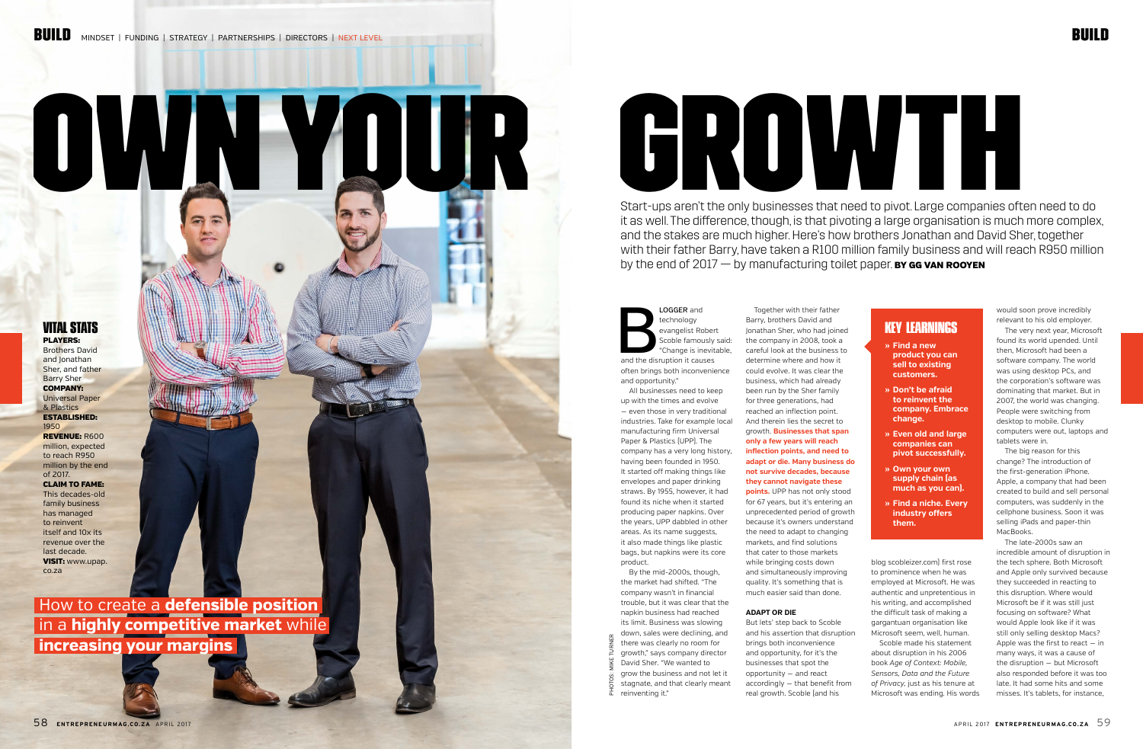# OWN YOUR GROWTH

# BUILD



# LOGGER and<br>
technology<br>
evangelist Rober<br>
Scoble famously<br>
"Change is inevited<br>
and the disruption it causes technology evangelist Robert Scoble famously said: "Change is inevitable, often brings both inconvenience and opportunity."

All businesses need to keep up with the times and evolve — even those in very traditional industries. Take for example local manufacturing firm Universal Paper & Plastics (UPP). The company has a very long history, having been founded in 1950. It started off making things like envelopes and paper drinking straws. By 1955, however, it had found its niche when it started producing paper napkins. Over the years, UPP dabbled in other areas. As its name suggests, it also made things like plastic bags, but napkins were its core product.

By the mid-2000s, though, the market had shifted. "The company wasn't in financial trouble, but it was clear that the napkin business had reached its limit. Business was slowing down, sales were declining, and

there was clearly no room for growth," says company director David Sher. "We wanted to grow the business and not let it stagnate, and that clearly meant

reinventing it."

Together with their father

Barry, brothers David and Jonathan Sher, who had joined the company in 2008, took a careful look at the business to determine where and how it could evolve. It was clear the business, which had already been run by the Sher family for three generations, had reached an inflection point. And therein lies the secret to growth. **Businesses that span only a few years will reach inflection points, and need to adapt or die. Many business do not survive decades, because they cannot navigate these points.** UPP has not only stood for 67 years, but it's entering an unprecedented period of growth because it's owners understand the need to adapt to changing markets, and find solutions that cater to those markets while bringing costs down and simultaneously improving quality. It's something that is much easier said than done.

Start-ups aren't the only businesses that need to pivot. Large companies often need to do it as well. The difference, though, is that pivoting a large organisation is much more complex, and the stakes are much higher. Here's how brothers Jonathan and David Sher, together with their father Barry, have taken a R100 million family business and will reach R950 million by the end of  $2017 -$  by manufacturing toilet paper. By GG VAN ROOYEN

#### **ADAPT OR DIE**

But lets' step back to Scoble and his assertion that disruption brings both inconvenience and opportunity, for it's the businesses that spot the opportunity — and react accordingly — that benefit from real growth. Scoble (and his

blog scobleizer.com) first rose to prominence when he was employed at Microsoft. He was authentic and unpretentious in his writing, and accomplished the difficult task of making a gargantuan organisation like Microsoft seem, well, human.

Scoble made his statement about disruption in his 2006 book *Age of Context: Mobile, Sensors, Data and the Future of Privacy,* just as his tenure at Microsoft was ending. His words

would soon prove incredibly relevant to his old employer.

The very next year, Microsoft found its world upended. Until then, Microsoft had been a software company. The world was using desktop PCs, and the corporation's software was dominating that market. But in 2007, the world was changing. People were switching from desktop to mobile. Clunky computers were out, laptops and tablets were in.

The big reason for this change? The introduction of the first-generation iPhone. Apple, a company that had been created to build and sell personal computers, was suddenly in the cellphone business. Soon it was selling iPads and paper-thin MacBooks.

The late-2000s saw an incredible amount of disruption in the tech sphere. Both Microsoft and Apple only survived because they succeeded in reacting to this disruption. Where would Microsoft be if it was still just focusing on software? What would Apple look like if it was still only selling desktop Macs? Apple was the first to react — in many ways, it was a cause of the disruption — but Microsoft also responded before it was too late. It had some hits and some misses. It's tablets, for instance,

# **KEY LEARNINGS**

- **» Find a new product you can sell to existing customers.**
- **» Don't be afraid to reinvent the company. Embrace change.**
- **» Even old and large companies can pivot successfully.**
- **» Own your own supply chain (as much as you can).**
- **» Find a niche. Every industry offers them.**

## **VITAL STATS** PLAYERS:

Brothers David and **Jonathan** Sher, and father Barry Sher COMPANY: Universal Paper & Plastics ESTABLISHED: 1950 REVENUE: R600 million, expected to reach R950 million by the end of 2017. CLAIM TO FAME: This decades-old family business has managed to reinvent itself and 10x its revenue over the last decade. VISIT: www.upap. co.za

 How to create a **defensible position** in a **highly competitive market** while **increasing your margins** 

PHOTOS: MIKE TURNER